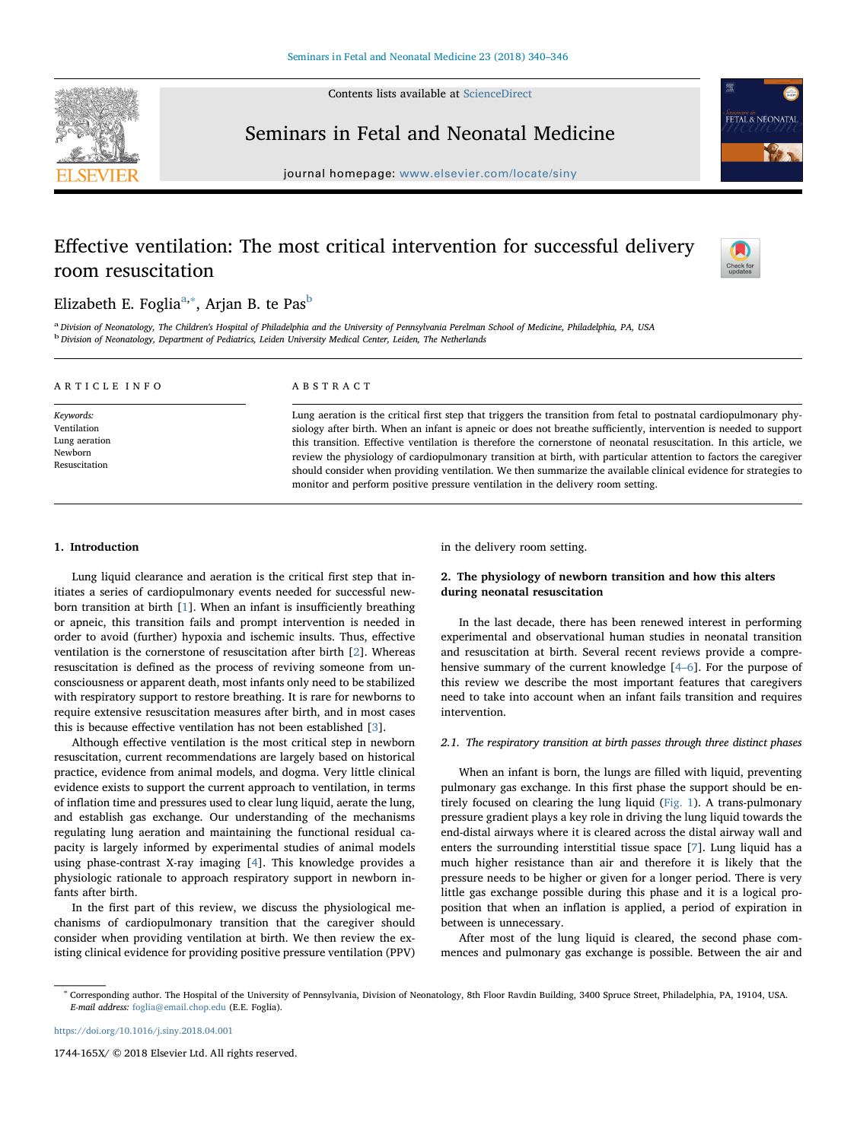Contents lists available at [ScienceDirect](http://www.sciencedirect.com/science/journal/1744165X)



## Seminars in Fetal and Neonatal Medicine

 $j<sub>i</sub>$  is a homepage: where  $\alpha$  is a complete  $\alpha$ 

# Effective ventilation: The most critical intervention for successful delivery room resuscitation



*Seminars in*<br>FETAL & NEONATAI

## Elizabeth E. Foglia<sup>[a,](#page-0-0)[∗](#page-0-1)</sup>, Arjan B. te Pas<sup>[b](#page-0-2)</sup>

<span id="page-0-2"></span><span id="page-0-0"></span>a Division of Neonatology, The Children's Hospital of Philadelphia and the University of Pennsylvania Perelman School of Medicine, Philadelphia, PA, USA <sup>b</sup> Division of Neonatology, Department of Pediatrics, Leiden University Medical Center, Leiden, The Netherlands

| ARTICLE INFO                                                          | <b>ABSTRACT</b>                                                                                                                                                                                                                                                                                                                                                                                                                                                                                                                                                                                                                                                                         |
|-----------------------------------------------------------------------|-----------------------------------------------------------------------------------------------------------------------------------------------------------------------------------------------------------------------------------------------------------------------------------------------------------------------------------------------------------------------------------------------------------------------------------------------------------------------------------------------------------------------------------------------------------------------------------------------------------------------------------------------------------------------------------------|
| Keywords:<br>Ventilation<br>Lung aeration<br>Newborn<br>Resuscitation | Lung aeration is the critical first step that triggers the transition from fetal to postnatal cardiopulmonary phy-<br>siology after birth. When an infant is apneic or does not breathe sufficiently, intervention is needed to support<br>this transition. Effective ventilation is therefore the cornerstone of neonatal resuscitation. In this article, we<br>review the physiology of cardiopulmonary transition at birth, with particular attention to factors the caregiver<br>should consider when providing ventilation. We then summarize the available clinical evidence for strategies to<br>monitor and perform positive pressure ventilation in the delivery room setting. |

#### 1. Introduction

Lung liquid clearance and aeration is the critical first step that initiates a series of cardiopulmonary events needed for successful newborn transition at birth [\[1\]](#page-5-0). When an infant is insufficiently breathing or apneic, this transition fails and prompt intervention is needed in order to avoid (further) hypoxia and ischemic insults. Thus, effective ventilation is the cornerstone of resuscitation after birth [[2](#page-5-1)]. Whereas resuscitation is defined as the process of reviving someone from unconsciousness or apparent death, most infants only need to be stabilized with respiratory support to restore breathing. It is rare for newborns to require extensive resuscitation measures after birth, and in most cases this is because effective ventilation has not been established [[3\]](#page-5-2).

Although effective ventilation is the most critical step in newborn resuscitation, current recommendations are largely based on historical practice, evidence from animal models, and dogma. Very little clinical evidence exists to support the current approach to ventilation, in terms of inflation time and pressures used to clear lung liquid, aerate the lung, and establish gas exchange. Our understanding of the mechanisms regulating lung aeration and maintaining the functional residual capacity is largely informed by experimental studies of animal models using phase-contrast X-ray imaging [[4](#page-5-3)]. This knowledge provides a physiologic rationale to approach respiratory support in newborn infants after birth.

In the first part of this review, we discuss the physiological mechanisms of cardiopulmonary transition that the caregiver should consider when providing ventilation at birth. We then review the existing clinical evidence for providing positive pressure ventilation (PPV) in the delivery room setting.

## 2. The physiology of newborn transition and how this alters during neonatal resuscitation

In the last decade, there has been renewed interest in performing experimental and observational human studies in neonatal transition and resuscitation at birth. Several recent reviews provide a comprehensive summary of the current knowledge [\[4](#page-5-3)–6]. For the purpose of this review we describe the most important features that caregivers need to take into account when an infant fails transition and requires intervention.

## 2.1. The respiratory transition at birth passes through three distinct phases

When an infant is born, the lungs are filled with liquid, preventing pulmonary gas exchange. In this first phase the support should be entirely focused on clearing the lung liquid ([Fig. 1](#page-1-0)). A trans-pulmonary pressure gradient plays a key role in driving the lung liquid towards the end-distal airways where it is cleared across the distal airway wall and enters the surrounding interstitial tissue space [[7](#page-5-4)]. Lung liquid has a much higher resistance than air and therefore it is likely that the pressure needs to be higher or given for a longer period. There is very little gas exchange possible during this phase and it is a logical proposition that when an inflation is applied, a period of expiration in between is unnecessary.

After most of the lung liquid is cleared, the second phase commences and pulmonary gas exchange is possible. Between the air and

<https://doi.org/10.1016/j.siny.2018.04.001>

1744-165X/ © 2018 Elsevier Ltd. All rights reserved.

<span id="page-0-1"></span><sup>∗</sup> Corresponding author. The Hospital of the University of Pennsylvania, Division of Neonatology, 8th Floor Ravdin Building, 3400 Spruce Street, Philadelphia, PA, 19104, USA. E-mail address: [foglia@email.chop.edu](mailto:foglia@email.chop.edu) (E.E. Foglia).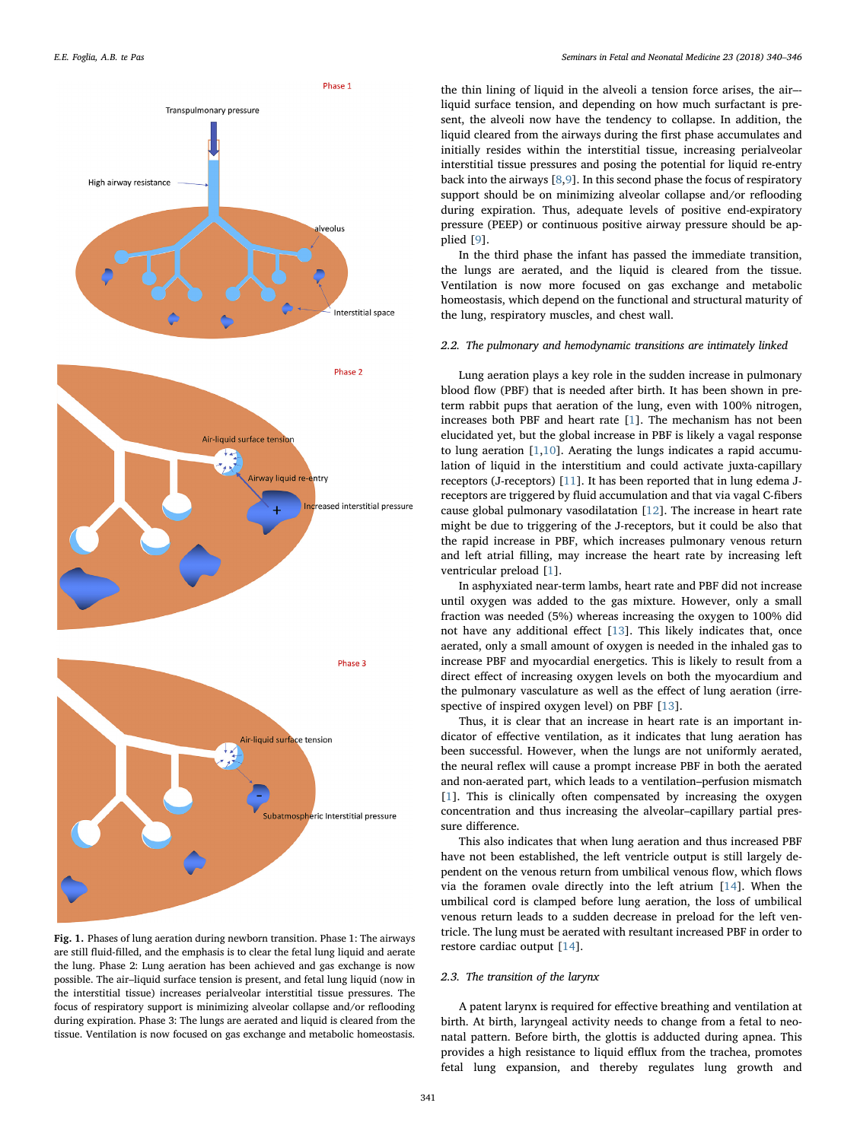<span id="page-1-0"></span>

Fig. 1. Phases of lung aeration during newborn transition. Phase 1: The airways are still fluid-filled, and the emphasis is to clear the fetal lung liquid and aerate the lung. Phase 2: Lung aeration has been achieved and gas exchange is now possible. The air–liquid surface tension is present, and fetal lung liquid (now in the interstitial tissue) increases perialveolar interstitial tissue pressures. The focus of respiratory support is minimizing alveolar collapse and/or reflooding during expiration. Phase 3: The lungs are aerated and liquid is cleared from the tissue. Ventilation is now focused on gas exchange and metabolic homeostasis.

the thin lining of liquid in the alveoli a tension force arises, the air– liquid surface tension, and depending on how much surfactant is present, the alveoli now have the tendency to collapse. In addition, the liquid cleared from the airways during the first phase accumulates and initially resides within the interstitial tissue, increasing perialveolar interstitial tissue pressures and posing the potential for liquid re-entry back into the airways [\[8](#page-5-5)[,9\]](#page-5-6). In this second phase the focus of respiratory support should be on minimizing alveolar collapse and/or reflooding during expiration. Thus, adequate levels of positive end-expiratory pressure (PEEP) or continuous positive airway pressure should be applied [\[9\]](#page-5-6).

In the third phase the infant has passed the immediate transition, the lungs are aerated, and the liquid is cleared from the tissue. Ventilation is now more focused on gas exchange and metabolic homeostasis, which depend on the functional and structural maturity of the lung, respiratory muscles, and chest wall.

#### 2.2. The pulmonary and hemodynamic transitions are intimately linked

Lung aeration plays a key role in the sudden increase in pulmonary blood flow (PBF) that is needed after birth. It has been shown in preterm rabbit pups that aeration of the lung, even with 100% nitrogen, increases both PBF and heart rate [\[1\]](#page-5-0). The mechanism has not been elucidated yet, but the global increase in PBF is likely a vagal response to lung aeration [[1](#page-5-0),[10\]](#page-5-7). Aerating the lungs indicates a rapid accumulation of liquid in the interstitium and could activate juxta-capillary receptors (J-receptors) [[11\]](#page-5-8). It has been reported that in lung edema Jreceptors are triggered by fluid accumulation and that via vagal C-fibers cause global pulmonary vasodilatation [\[12](#page-5-9)]. The increase in heart rate might be due to triggering of the J-receptors, but it could be also that the rapid increase in PBF, which increases pulmonary venous return and left atrial filling, may increase the heart rate by increasing left ventricular preload [[1](#page-5-0)].

In asphyxiated near-term lambs, heart rate and PBF did not increase until oxygen was added to the gas mixture. However, only a small fraction was needed (5%) whereas increasing the oxygen to 100% did not have any additional effect [\[13](#page-5-10)]. This likely indicates that, once aerated, only a small amount of oxygen is needed in the inhaled gas to increase PBF and myocardial energetics. This is likely to result from a direct effect of increasing oxygen levels on both the myocardium and the pulmonary vasculature as well as the effect of lung aeration (irre-spective of inspired oxygen level) on PBF [\[13](#page-5-10)].

Thus, it is clear that an increase in heart rate is an important indicator of effective ventilation, as it indicates that lung aeration has been successful. However, when the lungs are not uniformly aerated, the neural reflex will cause a prompt increase PBF in both the aerated and non-aerated part, which leads to a ventilation–perfusion mismatch [[1](#page-5-0)]. This is clinically often compensated by increasing the oxygen concentration and thus increasing the alveolar–capillary partial pressure difference.

This also indicates that when lung aeration and thus increased PBF have not been established, the left ventricle output is still largely dependent on the venous return from umbilical venous flow, which flows via the foramen ovale directly into the left atrium [\[14](#page-5-11)]. When the umbilical cord is clamped before lung aeration, the loss of umbilical venous return leads to a sudden decrease in preload for the left ventricle. The lung must be aerated with resultant increased PBF in order to restore cardiac output [\[14](#page-5-11)].

## 2.3. The transition of the larynx

A patent larynx is required for effective breathing and ventilation at birth. At birth, laryngeal activity needs to change from a fetal to neonatal pattern. Before birth, the glottis is adducted during apnea. This provides a high resistance to liquid efflux from the trachea, promotes fetal lung expansion, and thereby regulates lung growth and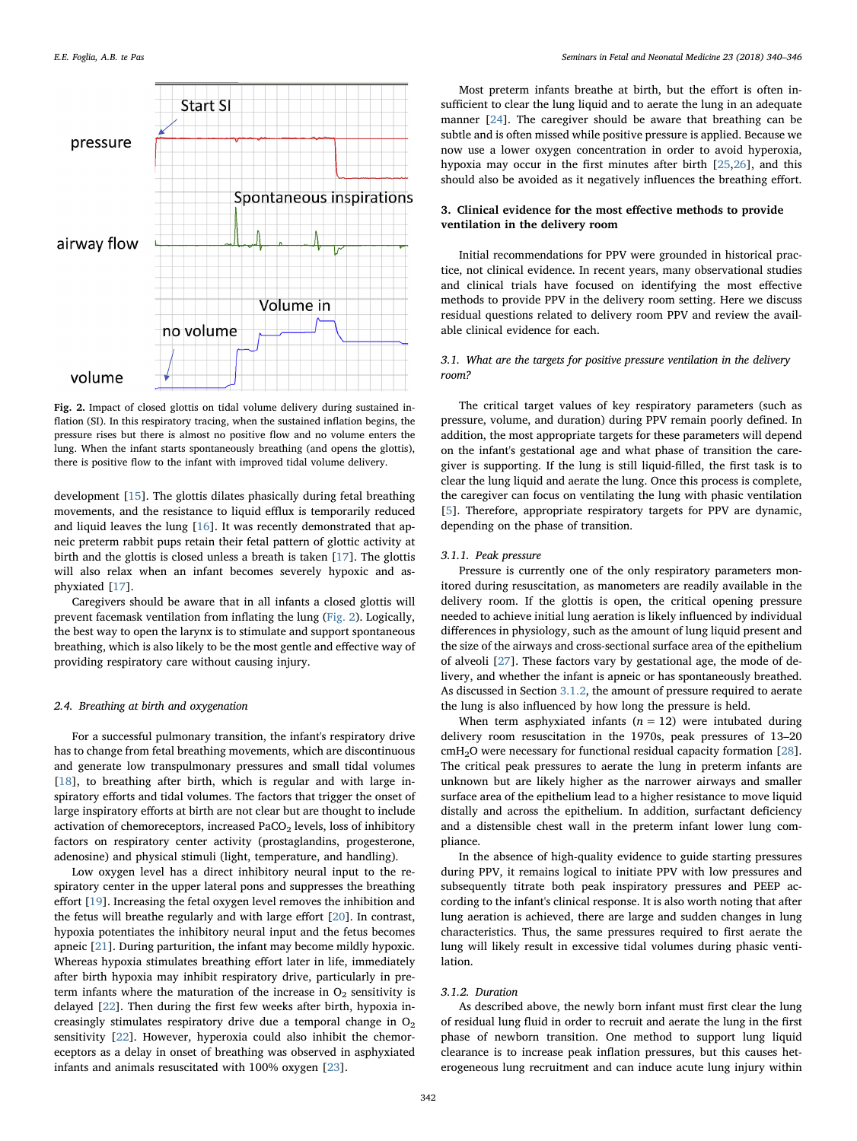<span id="page-2-0"></span>

Fig. 2. Impact of closed glottis on tidal volume delivery during sustained inflation (SI). In this respiratory tracing, when the sustained inflation begins, the pressure rises but there is almost no positive flow and no volume enters the lung. When the infant starts spontaneously breathing (and opens the glottis), there is positive flow to the infant with improved tidal volume delivery.

development [\[15](#page-5-12)]. The glottis dilates phasically during fetal breathing movements, and the resistance to liquid efflux is temporarily reduced and liquid leaves the lung [[16\]](#page-5-13). It was recently demonstrated that apneic preterm rabbit pups retain their fetal pattern of glottic activity at birth and the glottis is closed unless a breath is taken [[17\]](#page-5-14). The glottis will also relax when an infant becomes severely hypoxic and asphyxiated [[17\]](#page-5-14).

Caregivers should be aware that in all infants a closed glottis will prevent facemask ventilation from inflating the lung [\(Fig. 2](#page-2-0)). Logically, the best way to open the larynx is to stimulate and support spontaneous breathing, which is also likely to be the most gentle and effective way of providing respiratory care without causing injury.

#### 2.4. Breathing at birth and oxygenation

For a successful pulmonary transition, the infant's respiratory drive has to change from fetal breathing movements, which are discontinuous and generate low transpulmonary pressures and small tidal volumes [[18\]](#page-5-15), to breathing after birth, which is regular and with large inspiratory efforts and tidal volumes. The factors that trigger the onset of large inspiratory efforts at birth are not clear but are thought to include activation of chemoreceptors, increased PaCO<sub>2</sub> levels, loss of inhibitory factors on respiratory center activity (prostaglandins, progesterone, adenosine) and physical stimuli (light, temperature, and handling).

Low oxygen level has a direct inhibitory neural input to the respiratory center in the upper lateral pons and suppresses the breathing effort [\[19](#page-5-16)]. Increasing the fetal oxygen level removes the inhibition and the fetus will breathe regularly and with large effort [\[20\]](#page-5-17). In contrast, hypoxia potentiates the inhibitory neural input and the fetus becomes apneic [\[21](#page-5-18)]. During parturition, the infant may become mildly hypoxic. Whereas hypoxia stimulates breathing effort later in life, immediately after birth hypoxia may inhibit respiratory drive, particularly in preterm infants where the maturation of the increase in  $O<sub>2</sub>$  sensitivity is delayed [\[22](#page-5-19)]. Then during the first few weeks after birth, hypoxia increasingly stimulates respiratory drive due a temporal change in  $O<sub>2</sub>$ sensitivity [[22\]](#page-5-19). However, hyperoxia could also inhibit the chemoreceptors as a delay in onset of breathing was observed in asphyxiated infants and animals resuscitated with 100% oxygen [\[23](#page-5-20)].

Most preterm infants breathe at birth, but the effort is often insufficient to clear the lung liquid and to aerate the lung in an adequate manner [[24\]](#page-5-21). The caregiver should be aware that breathing can be subtle and is often missed while positive pressure is applied. Because we now use a lower oxygen concentration in order to avoid hyperoxia, hypoxia may occur in the first minutes after birth [[25,](#page-5-22)[26\]](#page-5-23), and this should also be avoided as it negatively influences the breathing effort.

## 3. Clinical evidence for the most effective methods to provide ventilation in the delivery room

Initial recommendations for PPV were grounded in historical practice, not clinical evidence. In recent years, many observational studies and clinical trials have focused on identifying the most effective methods to provide PPV in the delivery room setting. Here we discuss residual questions related to delivery room PPV and review the available clinical evidence for each.

### 3.1. What are the targets for positive pressure ventilation in the delivery room?

The critical target values of key respiratory parameters (such as pressure, volume, and duration) during PPV remain poorly defined. In addition, the most appropriate targets for these parameters will depend on the infant's gestational age and what phase of transition the caregiver is supporting. If the lung is still liquid-filled, the first task is to clear the lung liquid and aerate the lung. Once this process is complete, the caregiver can focus on ventilating the lung with phasic ventilation [[5](#page-5-24)]. Therefore, appropriate respiratory targets for PPV are dynamic, depending on the phase of transition.

## 3.1.1. Peak pressure

Pressure is currently one of the only respiratory parameters monitored during resuscitation, as manometers are readily available in the delivery room. If the glottis is open, the critical opening pressure needed to achieve initial lung aeration is likely influenced by individual differences in physiology, such as the amount of lung liquid present and the size of the airways and cross-sectional surface area of the epithelium of alveoli [\[27](#page-5-25)]. These factors vary by gestational age, the mode of delivery, and whether the infant is apneic or has spontaneously breathed. As discussed in Section [3.1.2](#page-2-1), the amount of pressure required to aerate the lung is also influenced by how long the pressure is held.

When term asphyxiated infants  $(n = 12)$  were intubated during delivery room resuscitation in the 1970s, peak pressures of 13–20 cmH2O were necessary for functional residual capacity formation [\[28](#page-5-26)]. The critical peak pressures to aerate the lung in preterm infants are unknown but are likely higher as the narrower airways and smaller surface area of the epithelium lead to a higher resistance to move liquid distally and across the epithelium. In addition, surfactant deficiency and a distensible chest wall in the preterm infant lower lung compliance.

In the absence of high-quality evidence to guide starting pressures during PPV, it remains logical to initiate PPV with low pressures and subsequently titrate both peak inspiratory pressures and PEEP according to the infant's clinical response. It is also worth noting that after lung aeration is achieved, there are large and sudden changes in lung characteristics. Thus, the same pressures required to first aerate the lung will likely result in excessive tidal volumes during phasic ventilation.

#### <span id="page-2-1"></span>3.1.2. Duration

As described above, the newly born infant must first clear the lung of residual lung fluid in order to recruit and aerate the lung in the first phase of newborn transition. One method to support lung liquid clearance is to increase peak inflation pressures, but this causes heterogeneous lung recruitment and can induce acute lung injury within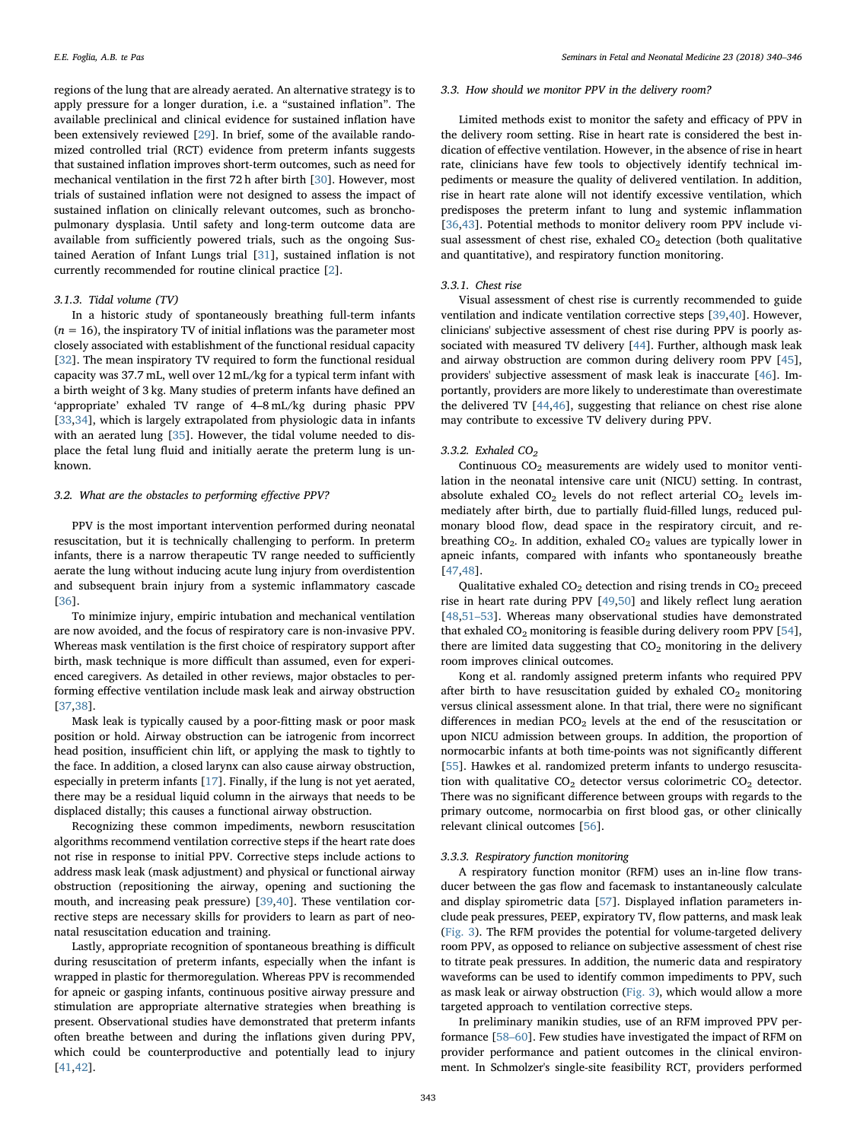regions of the lung that are already aerated. An alternative strategy is to apply pressure for a longer duration, i.e. a "sustained inflation". The available preclinical and clinical evidence for sustained inflation have been extensively reviewed [[29\]](#page-5-27). In brief, some of the available randomized controlled trial (RCT) evidence from preterm infants suggests that sustained inflation improves short-term outcomes, such as need for mechanical ventilation in the first 72 h after birth [[30\]](#page-5-28). However, most trials of sustained inflation were not designed to assess the impact of sustained inflation on clinically relevant outcomes, such as bronchopulmonary dysplasia. Until safety and long-term outcome data are available from sufficiently powered trials, such as the ongoing Sustained Aeration of Infant Lungs trial [\[31](#page-5-29)], sustained inflation is not currently recommended for routine clinical practice [\[2\]](#page-5-1).

#### 3.1.3. Tidal volume (TV)

In a historic study of spontaneously breathing full-term infants  $(n = 16)$ , the inspiratory TV of initial inflations was the parameter most closely associated with establishment of the functional residual capacity [[32\]](#page-5-30). The mean inspiratory TV required to form the functional residual capacity was 37.7 mL, well over 12 mL/kg for a typical term infant with a birth weight of 3 kg. Many studies of preterm infants have defined an 'appropriate' exhaled TV range of 4–8 mL/kg during phasic PPV [[33](#page-5-31)[,34](#page-5-32)], which is largely extrapolated from physiologic data in infants with an aerated lung [[35\]](#page-5-33). However, the tidal volume needed to displace the fetal lung fluid and initially aerate the preterm lung is unknown.

#### 3.2. What are the obstacles to performing effective PPV?

PPV is the most important intervention performed during neonatal resuscitation, but it is technically challenging to perform. In preterm infants, there is a narrow therapeutic TV range needed to sufficiently aerate the lung without inducing acute lung injury from overdistention and subsequent brain injury from a systemic inflammatory cascade [[36\]](#page-5-34).

To minimize injury, empiric intubation and mechanical ventilation are now avoided, and the focus of respiratory care is non-invasive PPV. Whereas mask ventilation is the first choice of respiratory support after birth, mask technique is more difficult than assumed, even for experienced caregivers. As detailed in other reviews, major obstacles to performing effective ventilation include mask leak and airway obstruction [[37](#page-5-35)[,38](#page-5-36)].

Mask leak is typically caused by a poor-fitting mask or poor mask position or hold. Airway obstruction can be iatrogenic from incorrect head position, insufficient chin lift, or applying the mask to tightly to the face. In addition, a closed larynx can also cause airway obstruction, especially in preterm infants [[17\]](#page-5-14). Finally, if the lung is not yet aerated, there may be a residual liquid column in the airways that needs to be displaced distally; this causes a functional airway obstruction.

Recognizing these common impediments, newborn resuscitation algorithms recommend ventilation corrective steps if the heart rate does not rise in response to initial PPV. Corrective steps include actions to address mask leak (mask adjustment) and physical or functional airway obstruction (repositioning the airway, opening and suctioning the mouth, and increasing peak pressure) [[39,](#page-5-37)[40\]](#page-5-38). These ventilation corrective steps are necessary skills for providers to learn as part of neonatal resuscitation education and training.

Lastly, appropriate recognition of spontaneous breathing is difficult during resuscitation of preterm infants, especially when the infant is wrapped in plastic for thermoregulation. Whereas PPV is recommended for apneic or gasping infants, continuous positive airway pressure and stimulation are appropriate alternative strategies when breathing is present. Observational studies have demonstrated that preterm infants often breathe between and during the inflations given during PPV, which could be counterproductive and potentially lead to injury [[41](#page-6-0)[,42](#page-6-1)].

#### 3.3. How should we monitor PPV in the delivery room?

Limited methods exist to monitor the safety and efficacy of PPV in the delivery room setting. Rise in heart rate is considered the best indication of effective ventilation. However, in the absence of rise in heart rate, clinicians have few tools to objectively identify technical impediments or measure the quality of delivered ventilation. In addition, rise in heart rate alone will not identify excessive ventilation, which predisposes the preterm infant to lung and systemic inflammation [[36](#page-5-34)[,43](#page-6-2)]. Potential methods to monitor delivery room PPV include visual assessment of chest rise, exhaled  $CO<sub>2</sub>$  detection (both qualitative and quantitative), and respiratory function monitoring.

#### 3.3.1. Chest rise

Visual assessment of chest rise is currently recommended to guide ventilation and indicate ventilation corrective steps [\[39](#page-5-37),[40\]](#page-5-38). However, clinicians' subjective assessment of chest rise during PPV is poorly associated with measured TV delivery [\[44](#page-6-3)]. Further, although mask leak and airway obstruction are common during delivery room PPV [\[45](#page-6-4)], providers' subjective assessment of mask leak is inaccurate [[46\]](#page-6-5). Importantly, providers are more likely to underestimate than overestimate the delivered TV [\[44](#page-6-3)[,46](#page-6-5)], suggesting that reliance on chest rise alone may contribute to excessive TV delivery during PPV.

#### 3.3.2. Exhaled  $CO<sub>2</sub>$

Continuous  $CO<sub>2</sub>$  measurements are widely used to monitor ventilation in the neonatal intensive care unit (NICU) setting. In contrast, absolute exhaled  $CO<sub>2</sub>$  levels do not reflect arterial  $CO<sub>2</sub>$  levels immediately after birth, due to partially fluid-filled lungs, reduced pulmonary blood flow, dead space in the respiratory circuit, and rebreathing  $CO<sub>2</sub>$ . In addition, exhaled  $CO<sub>2</sub>$  values are typically lower in apneic infants, compared with infants who spontaneously breathe [[47](#page-6-6)[,48](#page-6-7)].

Qualitative exhaled  $CO<sub>2</sub>$  detection and rising trends in  $CO<sub>2</sub>$  preceed rise in heart rate during PPV [[49,](#page-6-8)[50\]](#page-6-9) and likely reflect lung aeration [[48](#page-6-7)[,51](#page-6-10)–53]. Whereas many observational studies have demonstrated that exhaled  $CO_2$  monitoring is feasible during delivery room PPV [\[54](#page-6-11)], there are limited data suggesting that  $CO<sub>2</sub>$  monitoring in the delivery room improves clinical outcomes.

Kong et al. randomly assigned preterm infants who required PPV after birth to have resuscitation guided by exhaled  $CO<sub>2</sub>$  monitoring versus clinical assessment alone. In that trial, there were no significant differences in median  $PCO<sub>2</sub>$  levels at the end of the resuscitation or upon NICU admission between groups. In addition, the proportion of normocarbic infants at both time-points was not significantly different [[55\]](#page-6-12). Hawkes et al. randomized preterm infants to undergo resuscitation with qualitative  $CO<sub>2</sub>$  detector versus colorimetric  $CO<sub>2</sub>$  detector. There was no significant difference between groups with regards to the primary outcome, normocarbia on first blood gas, or other clinically relevant clinical outcomes [[56\]](#page-6-13).

## 3.3.3. Respiratory function monitoring

A respiratory function monitor (RFM) uses an in-line flow transducer between the gas flow and facemask to instantaneously calculate and display spirometric data [[57\]](#page-6-14). Displayed inflation parameters include peak pressures, PEEP, expiratory TV, flow patterns, and mask leak ([Fig. 3](#page-4-0)). The RFM provides the potential for volume-targeted delivery room PPV, as opposed to reliance on subjective assessment of chest rise to titrate peak pressures. In addition, the numeric data and respiratory waveforms can be used to identify common impediments to PPV, such as mask leak or airway obstruction [\(Fig. 3](#page-4-0)), which would allow a more targeted approach to ventilation corrective steps.

In preliminary manikin studies, use of an RFM improved PPV performance [\[58](#page-6-15)–60]. Few studies have investigated the impact of RFM on provider performance and patient outcomes in the clinical environment. In Schmolzer's single-site feasibility RCT, providers performed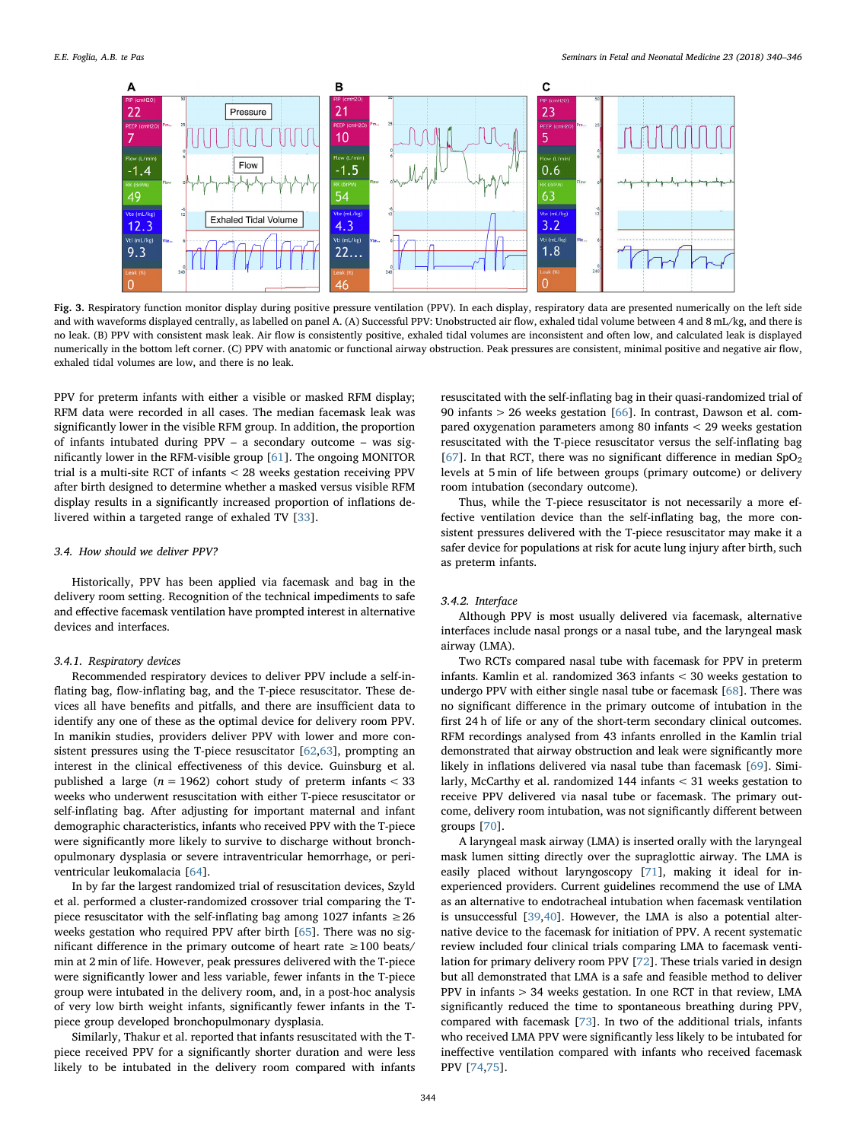<span id="page-4-0"></span>

Fig. 3. Respiratory function monitor display during positive pressure ventilation (PPV). In each display, respiratory data are presented numerically on the left side and with waveforms displayed centrally, as labelled on panel A. (A) Successful PPV: Unobstructed air flow, exhaled tidal volume between 4 and 8 mL/kg, and there is no leak. (B) PPV with consistent mask leak. Air flow is consistently positive, exhaled tidal volumes are inconsistent and often low, and calculated leak is displayed numerically in the bottom left corner. (C) PPV with anatomic or functional airway obstruction. Peak pressures are consistent, minimal positive and negative air flow, exhaled tidal volumes are low, and there is no leak.

PPV for preterm infants with either a visible or masked RFM display; RFM data were recorded in all cases. The median facemask leak was significantly lower in the visible RFM group. In addition, the proportion of infants intubated during PPV – a secondary outcome – was significantly lower in the RFM-visible group [[61\]](#page-6-16). The ongoing MONITOR trial is a multi-site RCT of infants < 28 weeks gestation receiving PPV after birth designed to determine whether a masked versus visible RFM display results in a significantly increased proportion of inflations delivered within a targeted range of exhaled TV [[33\]](#page-5-31).

#### 3.4. How should we deliver PPV?

Historically, PPV has been applied via facemask and bag in the delivery room setting. Recognition of the technical impediments to safe and effective facemask ventilation have prompted interest in alternative devices and interfaces.

## 3.4.1. Respiratory devices

Recommended respiratory devices to deliver PPV include a self-inflating bag, flow-inflating bag, and the T-piece resuscitator. These devices all have benefits and pitfalls, and there are insufficient data to identify any one of these as the optimal device for delivery room PPV. In manikin studies, providers deliver PPV with lower and more consistent pressures using the T-piece resuscitator [\[62](#page-6-17)[,63](#page-6-18)], prompting an interest in the clinical effectiveness of this device. Guinsburg et al. published a large ( $n = 1962$ ) cohort study of preterm infants < 33 weeks who underwent resuscitation with either T-piece resuscitator or self-inflating bag. After adjusting for important maternal and infant demographic characteristics, infants who received PPV with the T-piece were significantly more likely to survive to discharge without bronchopulmonary dysplasia or severe intraventricular hemorrhage, or periventricular leukomalacia [[64\]](#page-6-19).

In by far the largest randomized trial of resuscitation devices, Szyld et al. performed a cluster-randomized crossover trial comparing the Tpiece resuscitator with the self-inflating bag among 1027 infants  $\geq$  26 weeks gestation who required PPV after birth [[65\]](#page-6-20). There was no significant difference in the primary outcome of heart rate ≥100 beats/ min at 2 min of life. However, peak pressures delivered with the T-piece were significantly lower and less variable, fewer infants in the T-piece group were intubated in the delivery room, and, in a post-hoc analysis of very low birth weight infants, significantly fewer infants in the Tpiece group developed bronchopulmonary dysplasia.

Similarly, Thakur et al. reported that infants resuscitated with the Tpiece received PPV for a significantly shorter duration and were less likely to be intubated in the delivery room compared with infants resuscitated with the self-inflating bag in their quasi-randomized trial of 90 infants > 26 weeks gestation [[66\]](#page-6-21). In contrast, Dawson et al. compared oxygenation parameters among 80 infants < 29 weeks gestation resuscitated with the T-piece resuscitator versus the self-inflating bag [[67\]](#page-6-22). In that RCT, there was no significant difference in median  $SpO<sub>2</sub>$ levels at 5 min of life between groups (primary outcome) or delivery room intubation (secondary outcome).

Thus, while the T-piece resuscitator is not necessarily a more effective ventilation device than the self-inflating bag, the more consistent pressures delivered with the T-piece resuscitator may make it a safer device for populations at risk for acute lung injury after birth, such as preterm infants.

### 3.4.2. Interface

Although PPV is most usually delivered via facemask, alternative interfaces include nasal prongs or a nasal tube, and the laryngeal mask airway (LMA).

Two RCTs compared nasal tube with facemask for PPV in preterm infants. Kamlin et al. randomized 363 infants < 30 weeks gestation to undergo PPV with either single nasal tube or facemask [[68\]](#page-6-23). There was no significant difference in the primary outcome of intubation in the first 24 h of life or any of the short-term secondary clinical outcomes. RFM recordings analysed from 43 infants enrolled in the Kamlin trial demonstrated that airway obstruction and leak were significantly more likely in inflations delivered via nasal tube than facemask [[69\]](#page-6-24). Similarly, McCarthy et al. randomized 144 infants < 31 weeks gestation to receive PPV delivered via nasal tube or facemask. The primary outcome, delivery room intubation, was not significantly different between groups [\[70](#page-6-25)].

A laryngeal mask airway (LMA) is inserted orally with the laryngeal mask lumen sitting directly over the supraglottic airway. The LMA is easily placed without laryngoscopy [\[71](#page-6-26)], making it ideal for inexperienced providers. Current guidelines recommend the use of LMA as an alternative to endotracheal intubation when facemask ventilation is unsuccessful [[39,](#page-5-37)[40](#page-5-38)]. However, the LMA is also a potential alternative device to the facemask for initiation of PPV. A recent systematic review included four clinical trials comparing LMA to facemask ventilation for primary delivery room PPV [[72\]](#page-6-27). These trials varied in design but all demonstrated that LMA is a safe and feasible method to deliver PPV in infants > 34 weeks gestation. In one RCT in that review, LMA significantly reduced the time to spontaneous breathing during PPV, compared with facemask [[73\]](#page-6-28). In two of the additional trials, infants who received LMA PPV were significantly less likely to be intubated for ineffective ventilation compared with infants who received facemask PPV [\[74](#page-6-29)[,75](#page-6-30)].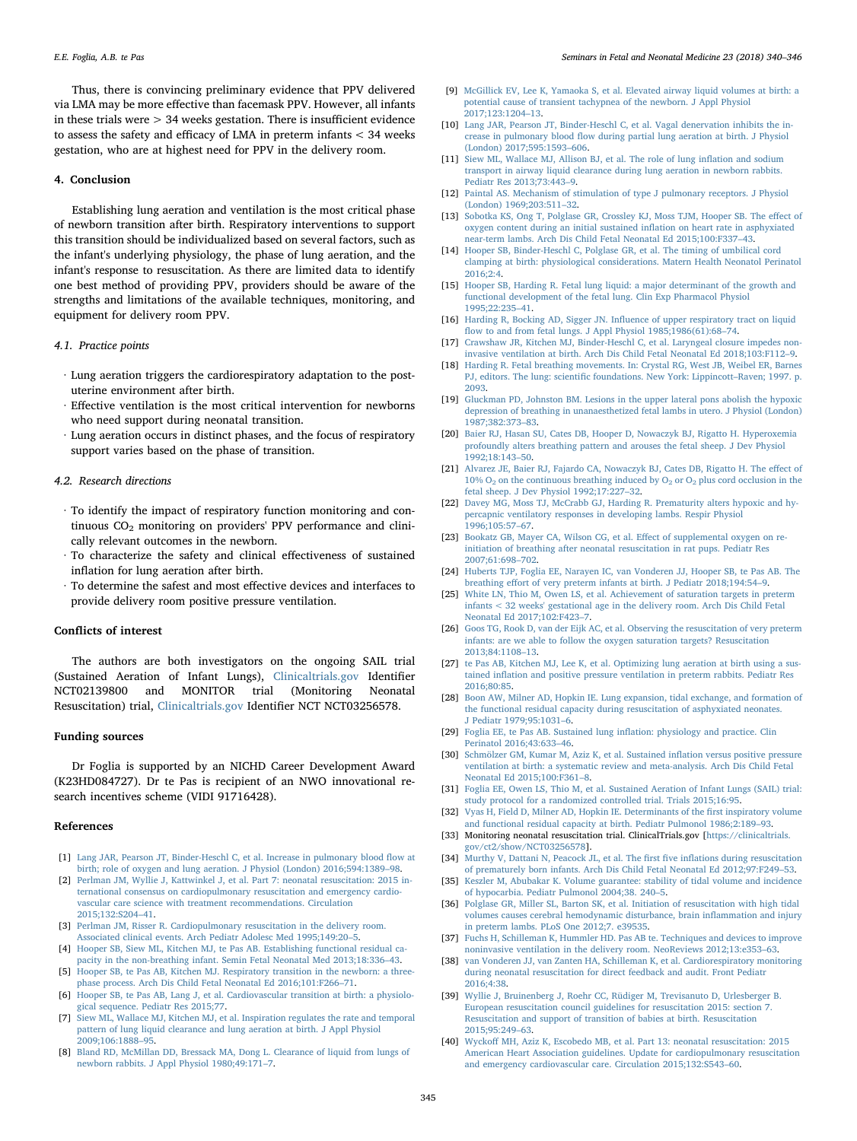Thus, there is convincing preliminary evidence that PPV delivered via LMA may be more effective than facemask PPV. However, all infants in these trials were > 34 weeks gestation. There is insufficient evidence to assess the safety and efficacy of LMA in preterm infants < 34 weeks gestation, who are at highest need for PPV in the delivery room.

#### 4. Conclusion

Establishing lung aeration and ventilation is the most critical phase of newborn transition after birth. Respiratory interventions to support this transition should be individualized based on several factors, such as the infant's underlying physiology, the phase of lung aeration, and the infant's response to resuscitation. As there are limited data to identify one best method of providing PPV, providers should be aware of the strengths and limitations of the available techniques, monitoring, and equipment for delivery room PPV.

## 4.1. Practice points

- ∙ Lung aeration triggers the cardiorespiratory adaptation to the postuterine environment after birth.
- ∙ Effective ventilation is the most critical intervention for newborns who need support during neonatal transition.
- ∙ Lung aeration occurs in distinct phases, and the focus of respiratory support varies based on the phase of transition.

#### 4.2. Research directions

- ∙ To identify the impact of respiratory function monitoring and continuous CO<sub>2</sub> monitoring on providers' PPV performance and clinically relevant outcomes in the newborn.
- ∙ To characterize the safety and clinical effectiveness of sustained inflation for lung aeration after birth.
- ∙ To determine the safest and most effective devices and interfaces to provide delivery room positive pressure ventilation.

#### Conflicts of interest

The authors are both investigators on the ongoing SAIL trial (Sustained Aeration of Infant Lungs), [Clinicaltrials.gov](http://Clinicaltrials.gov) Identifier NCT02139800 and MONITOR trial (Monitoring Neonatal Resuscitation) trial, [Clinicaltrials.gov](http://Clinicaltrials.gov) Identifier NCT NCT03256578.

#### Funding sources

Dr Foglia is supported by an NICHD Career Development Award (K23HD084727). Dr te Pas is recipient of an NWO innovational research incentives scheme (VIDI 91716428).

#### References

- <span id="page-5-0"></span>[1] [Lang JAR, Pearson JT, Binder-Heschl C, et al. Increase in pulmonary blood](http://refhub.elsevier.com/S1744-165X(18)30065-9/sref1) flow at [birth; role of oxygen and lung aeration. J Physiol \(London\) 2016;594:1389](http://refhub.elsevier.com/S1744-165X(18)30065-9/sref1)–98.
- <span id="page-5-1"></span>[2] [Perlman JM, Wyllie J, Kattwinkel J, et al. Part 7: neonatal resuscitation: 2015 in](http://refhub.elsevier.com/S1744-165X(18)30065-9/sref2)[ternational consensus on cardiopulmonary resuscitation and emergency cardio](http://refhub.elsevier.com/S1744-165X(18)30065-9/sref2)[vascular care science with treatment recommendations. Circulation](http://refhub.elsevier.com/S1744-165X(18)30065-9/sref2) [2015;132:S204](http://refhub.elsevier.com/S1744-165X(18)30065-9/sref2)–41.
- <span id="page-5-2"></span>[3] [Perlman JM, Risser R. Cardiopulmonary resuscitation in the delivery room.](http://refhub.elsevier.com/S1744-165X(18)30065-9/sref3) [Associated clinical events. Arch Pediatr Adolesc Med 1995;149:20](http://refhub.elsevier.com/S1744-165X(18)30065-9/sref3)–5.
- <span id="page-5-3"></span>[4] [Hooper SB, Siew ML, Kitchen MJ, te Pas AB. Establishing functional residual ca](http://refhub.elsevier.com/S1744-165X(18)30065-9/sref4)[pacity in the non-breathing infant. Semin Fetal Neonatal Med 2013;18:336](http://refhub.elsevier.com/S1744-165X(18)30065-9/sref4)–43.
- <span id="page-5-24"></span>[5] [Hooper SB, te Pas AB, Kitchen MJ. Respiratory transition in the newborn: a three](http://refhub.elsevier.com/S1744-165X(18)30065-9/sref5)[phase process. Arch Dis Child Fetal Neonatal Ed 2016;101:F266](http://refhub.elsevier.com/S1744-165X(18)30065-9/sref5)–71.
- [6] [Hooper SB, te Pas AB, Lang J, et al. Cardiovascular transition at birth: a physiolo](http://refhub.elsevier.com/S1744-165X(18)30065-9/sref6)[gical sequence. Pediatr Res 2015;77.](http://refhub.elsevier.com/S1744-165X(18)30065-9/sref6)
- <span id="page-5-4"></span>[7] [Siew ML, Wallace MJ, Kitchen MJ, et al. Inspiration regulates the rate and temporal](http://refhub.elsevier.com/S1744-165X(18)30065-9/sref7) [pattern of lung liquid clearance and lung aeration at birth. J Appl Physiol](http://refhub.elsevier.com/S1744-165X(18)30065-9/sref7) [2009;106:1888](http://refhub.elsevier.com/S1744-165X(18)30065-9/sref7)–95.
- <span id="page-5-5"></span>[8] [Bland RD, McMillan DD, Bressack MA, Dong L. Clearance of liquid from lungs of](http://refhub.elsevier.com/S1744-165X(18)30065-9/sref8) [newborn rabbits. J Appl Physiol 1980;49:171](http://refhub.elsevier.com/S1744-165X(18)30065-9/sref8)–7.
- <span id="page-5-6"></span>[9] [McGillick EV, Lee K, Yamaoka S, et al. Elevated airway liquid volumes at birth: a](http://refhub.elsevier.com/S1744-165X(18)30065-9/sref9) [potential cause of transient tachypnea of the newborn. J Appl Physiol](http://refhub.elsevier.com/S1744-165X(18)30065-9/sref9) [2017;123:1204](http://refhub.elsevier.com/S1744-165X(18)30065-9/sref9)–13.
- <span id="page-5-7"></span>[10] [Lang JAR, Pearson JT, Binder-Heschl C, et al. Vagal denervation inhibits the in](http://refhub.elsevier.com/S1744-165X(18)30065-9/sref10)crease in pulmonary blood fl[ow during partial lung aeration at birth. J Physiol](http://refhub.elsevier.com/S1744-165X(18)30065-9/sref10) [\(London\) 2017;595:1593](http://refhub.elsevier.com/S1744-165X(18)30065-9/sref10)–606.
- <span id="page-5-8"></span>[11] [Siew ML, Wallace MJ, Allison BJ, et al. The role of lung in](http://refhub.elsevier.com/S1744-165X(18)30065-9/sref11)flation and sodium [transport in airway liquid clearance during lung aeration in newborn rabbits.](http://refhub.elsevier.com/S1744-165X(18)30065-9/sref11) [Pediatr Res 2013;73:443](http://refhub.elsevier.com/S1744-165X(18)30065-9/sref11)–9.
- <span id="page-5-9"></span>[12] [Paintal AS. Mechanism of stimulation of type J pulmonary receptors. J Physiol](http://refhub.elsevier.com/S1744-165X(18)30065-9/sref12) [\(London\) 1969;203:511](http://refhub.elsevier.com/S1744-165X(18)30065-9/sref12)–32.
- <span id="page-5-10"></span>[13] [Sobotka KS, Ong T, Polglase GR, Crossley KJ, Moss TJM, Hooper SB. The e](http://refhub.elsevier.com/S1744-165X(18)30065-9/sref13)ffect of [oxygen content during an initial sustained in](http://refhub.elsevier.com/S1744-165X(18)30065-9/sref13)flation on heart rate in asphyxiated [near-term lambs. Arch Dis Child Fetal Neonatal Ed 2015;100:F337](http://refhub.elsevier.com/S1744-165X(18)30065-9/sref13)–43.
- <span id="page-5-11"></span>[14] [Hooper SB, Binder-Heschl C, Polglase GR, et al. The timing of umbilical cord](http://refhub.elsevier.com/S1744-165X(18)30065-9/sref14) [clamping at birth: physiological considerations. Matern Health Neonatol Perinatol](http://refhub.elsevier.com/S1744-165X(18)30065-9/sref14) [2016;2:4.](http://refhub.elsevier.com/S1744-165X(18)30065-9/sref14)
- <span id="page-5-12"></span>[15] [Hooper SB, Harding R. Fetal lung liquid: a major determinant of the growth and](http://refhub.elsevier.com/S1744-165X(18)30065-9/sref15) [functional development of the fetal lung. Clin Exp Pharmacol Physiol](http://refhub.elsevier.com/S1744-165X(18)30065-9/sref15) [1995;22:235](http://refhub.elsevier.com/S1744-165X(18)30065-9/sref15)–41.
- <span id="page-5-13"></span>[16] Harding R, Bocking AD, Sigger JN. Infl[uence of upper respiratory tract on liquid](http://refhub.elsevier.com/S1744-165X(18)30065-9/sref16) fl[ow to and from fetal lungs. J Appl Physiol 1985;1986\(61\):68](http://refhub.elsevier.com/S1744-165X(18)30065-9/sref16)–74.
- <span id="page-5-14"></span>[17] [Crawshaw JR, Kitchen MJ, Binder-Heschl C, et al. Laryngeal closure impedes non](http://refhub.elsevier.com/S1744-165X(18)30065-9/sref17)[invasive ventilation at birth. Arch Dis Child Fetal Neonatal Ed 2018;103:F112](http://refhub.elsevier.com/S1744-165X(18)30065-9/sref17)–9.
- <span id="page-5-15"></span>[18] [Harding R. Fetal breathing movements. In: Crystal RG, West JB, Weibel ER, Barnes](http://refhub.elsevier.com/S1744-165X(18)30065-9/sref18) PJ, editors. The lung: scientifi[c foundations. New York: Lippincott](http://refhub.elsevier.com/S1744-165X(18)30065-9/sref18)–Raven; 1997. p. [2093.](http://refhub.elsevier.com/S1744-165X(18)30065-9/sref18)
- <span id="page-5-16"></span>[19] [Gluckman PD, Johnston BM. Lesions in the upper lateral pons abolish the hypoxic](http://refhub.elsevier.com/S1744-165X(18)30065-9/sref19) [depression of breathing in unanaesthetized fetal lambs in utero. J Physiol \(London\)](http://refhub.elsevier.com/S1744-165X(18)30065-9/sref19) [1987;382:373](http://refhub.elsevier.com/S1744-165X(18)30065-9/sref19)–83.
- <span id="page-5-17"></span>[20] [Baier RJ, Hasan SU, Cates DB, Hooper D, Nowaczyk BJ, Rigatto H. Hyperoxemia](http://refhub.elsevier.com/S1744-165X(18)30065-9/sref20) [profoundly alters breathing pattern and arouses the fetal sheep. J Dev Physiol](http://refhub.elsevier.com/S1744-165X(18)30065-9/sref20) [1992;18:143](http://refhub.elsevier.com/S1744-165X(18)30065-9/sref20)–50.
- <span id="page-5-18"></span>[21] [Alvarez JE, Baier RJ, Fajardo CA, Nowaczyk BJ, Cates DB, Rigatto H. The e](http://refhub.elsevier.com/S1744-165X(18)30065-9/sref21)ffect of 10%  $O_2$  on the continuous breathing induced by  $O_2$  or  $O_2$  plus cord occlusion in the [fetal sheep. J Dev Physiol 1992;17:227](http://refhub.elsevier.com/S1744-165X(18)30065-9/sref21)–32.
- <span id="page-5-19"></span>[22] [Davey MG, Moss TJ, McCrabb GJ, Harding R. Prematurity alters hypoxic and hy](http://refhub.elsevier.com/S1744-165X(18)30065-9/sref22)[percapnic ventilatory responses in developing lambs. Respir Physiol](http://refhub.elsevier.com/S1744-165X(18)30065-9/sref22) [1996;105:57](http://refhub.elsevier.com/S1744-165X(18)30065-9/sref22)–67.
- <span id="page-5-20"></span>[23] [Bookatz GB, Mayer CA, Wilson CG, et al. E](http://refhub.elsevier.com/S1744-165X(18)30065-9/sref23)ffect of supplemental oxygen on re[initiation of breathing after neonatal resuscitation in rat pups. Pediatr Res](http://refhub.elsevier.com/S1744-165X(18)30065-9/sref23) [2007;61:698](http://refhub.elsevier.com/S1744-165X(18)30065-9/sref23)–702.
- <span id="page-5-21"></span>[24] [Huberts TJP, Foglia EE, Narayen IC, van Vonderen JJ, Hooper SB, te Pas AB. The](http://refhub.elsevier.com/S1744-165X(18)30065-9/sref24) breathing eff[ort of very preterm infants at birth. J Pediatr 2018;194:54](http://refhub.elsevier.com/S1744-165X(18)30065-9/sref24)–9.
- <span id="page-5-22"></span>[25] [White LN, Thio M, Owen LS, et al. Achievement of saturation targets in preterm](http://refhub.elsevier.com/S1744-165X(18)30065-9/sref25) [infants < 32 weeks' gestational age in the delivery room. Arch Dis Child Fetal](http://refhub.elsevier.com/S1744-165X(18)30065-9/sref25) [Neonatal Ed 2017;102:F423](http://refhub.elsevier.com/S1744-165X(18)30065-9/sref25)–7.
- <span id="page-5-23"></span>[26] [Goos TG, Rook D, van der Eijk AC, et al. Observing the resuscitation of very preterm](http://refhub.elsevier.com/S1744-165X(18)30065-9/sref26) [infants: are we able to follow the oxygen saturation targets? Resuscitation](http://refhub.elsevier.com/S1744-165X(18)30065-9/sref26) [2013;84:1108](http://refhub.elsevier.com/S1744-165X(18)30065-9/sref26)–13.
- <span id="page-5-25"></span>[27] [te Pas AB, Kitchen MJ, Lee K, et al. Optimizing lung aeration at birth using a sus](http://refhub.elsevier.com/S1744-165X(18)30065-9/sref27)tained infl[ation and positive pressure ventilation in preterm rabbits. Pediatr Res](http://refhub.elsevier.com/S1744-165X(18)30065-9/sref27) [2016;80:85.](http://refhub.elsevier.com/S1744-165X(18)30065-9/sref27)
- <span id="page-5-26"></span>[28] [Boon AW, Milner AD, Hopkin IE. Lung expansion, tidal exchange, and formation of](http://refhub.elsevier.com/S1744-165X(18)30065-9/sref28) [the functional residual capacity during resuscitation of asphyxiated neonates.](http://refhub.elsevier.com/S1744-165X(18)30065-9/sref28) [J Pediatr 1979;95:1031](http://refhub.elsevier.com/S1744-165X(18)30065-9/sref28)–6.
- <span id="page-5-27"></span>[29] [Foglia EE, te Pas AB. Sustained lung in](http://refhub.elsevier.com/S1744-165X(18)30065-9/sref29)flation: physiology and practice. Clin [Perinatol 2016;43:633](http://refhub.elsevier.com/S1744-165X(18)30065-9/sref29)–46.
- <span id="page-5-28"></span>[30] [Schmölzer GM, Kumar M, Aziz K, et al. Sustained in](http://refhub.elsevier.com/S1744-165X(18)30065-9/sref30)flation versus positive pressure [ventilation at birth: a systematic review and meta-analysis. Arch Dis Child Fetal](http://refhub.elsevier.com/S1744-165X(18)30065-9/sref30) [Neonatal Ed 2015;100:F361](http://refhub.elsevier.com/S1744-165X(18)30065-9/sref30)–8.
- <span id="page-5-29"></span>[31] [Foglia EE, Owen LS, Thio M, et al. Sustained Aeration of Infant Lungs \(SAIL\) trial:](http://refhub.elsevier.com/S1744-165X(18)30065-9/sref31) [study protocol for a randomized controlled trial. Trials 2015;16:95.](http://refhub.elsevier.com/S1744-165X(18)30065-9/sref31)
- <span id="page-5-30"></span>[32] [Vyas H, Field D, Milner AD, Hopkin IE. Determinants of the](http://refhub.elsevier.com/S1744-165X(18)30065-9/sref32) first inspiratory volume [and functional residual capacity at birth. Pediatr Pulmonol 1986;2:189](http://refhub.elsevier.com/S1744-165X(18)30065-9/sref32)–93.
- <span id="page-5-31"></span>[33] Monitoring neonatal resuscitation trial. ClinicalTrials.gov [\[https://clinicaltrials.](https://clinicaltrials.gov/ct2/show/NCT03256578) [gov/ct2/show/NCT03256578](https://clinicaltrials.gov/ct2/show/NCT03256578)].
- <span id="page-5-32"></span>[34] [Murthy V, Dattani N, Peacock JL, et al. The](http://refhub.elsevier.com/S1744-165X(18)30065-9/sref34) first five inflations during resuscitation [of prematurely born infants. Arch Dis Child Fetal Neonatal Ed 2012;97:F249](http://refhub.elsevier.com/S1744-165X(18)30065-9/sref34)–53.
- <span id="page-5-33"></span>[35] [Keszler M, Abubakar K. Volume guarantee: stability of tidal volume and incidence](http://refhub.elsevier.com/S1744-165X(18)30065-9/sref35) of [hypocarbia. Pediatr Pulmonol 2004;38. 240](http://refhub.elsevier.com/S1744-165X(18)30065-9/sref35)–5.
- <span id="page-5-34"></span>[36] [Polglase GR, Miller SL, Barton SK, et al. Initiation of resuscitation with high tidal](http://refhub.elsevier.com/S1744-165X(18)30065-9/sref36) [volumes causes cerebral hemodynamic disturbance, brain in](http://refhub.elsevier.com/S1744-165X(18)30065-9/sref36)flammation and injury [in preterm lambs. PLoS One 2012;7. e39535.](http://refhub.elsevier.com/S1744-165X(18)30065-9/sref36)
- <span id="page-5-35"></span>[37] [Fuchs H, Schilleman K, Hummler HD. Pas AB te. Techniques and devices to improve](http://refhub.elsevier.com/S1744-165X(18)30065-9/sref37) [noninvasive ventilation in the delivery room. NeoReviews 2012;13:e353](http://refhub.elsevier.com/S1744-165X(18)30065-9/sref37)–63.
- <span id="page-5-36"></span>[38] [van Vonderen JJ, van Zanten HA, Schilleman K, et al. Cardiorespiratory monitoring](http://refhub.elsevier.com/S1744-165X(18)30065-9/sref38) [during neonatal resuscitation for direct feedback and audit. Front Pediatr](http://refhub.elsevier.com/S1744-165X(18)30065-9/sref38) [2016;4:38.](http://refhub.elsevier.com/S1744-165X(18)30065-9/sref38)
- <span id="page-5-37"></span>[39] [Wyllie J, Bruinenberg J, Roehr CC, Rüdiger M, Trevisanuto D, Urlesberger B.](http://refhub.elsevier.com/S1744-165X(18)30065-9/sref39) [European resuscitation council guidelines for resuscitation 2015: section 7.](http://refhub.elsevier.com/S1744-165X(18)30065-9/sref39) [Resuscitation and support of transition of babies at birth. Resuscitation](http://refhub.elsevier.com/S1744-165X(18)30065-9/sref39) [2015;95:249](http://refhub.elsevier.com/S1744-165X(18)30065-9/sref39)–63.
- <span id="page-5-38"></span>[40] Wyckoff [MH, Aziz K, Escobedo MB, et al. Part 13: neonatal resuscitation: 2015](http://refhub.elsevier.com/S1744-165X(18)30065-9/sref40) [American Heart Association guidelines. Update for cardiopulmonary resuscitation](http://refhub.elsevier.com/S1744-165X(18)30065-9/sref40) [and emergency cardiovascular care. Circulation 2015;132:S543](http://refhub.elsevier.com/S1744-165X(18)30065-9/sref40)–60.